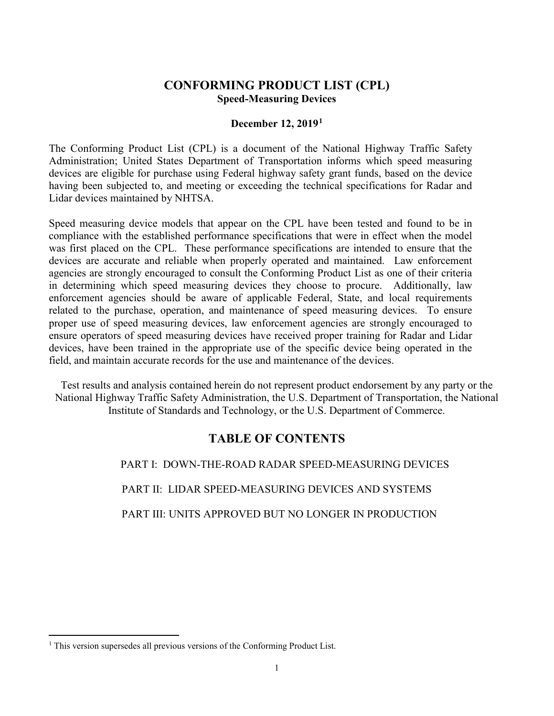## **CONFORMING PRODUCT LIST (CPL) Speed-Measuring Devices**

### **December 12, 2019[1](#page-0-0)**

The Conforming Product List (CPL) is a document of the National Highway Traffic Safety Administration; United States Department of Transportation informs which speed measuring devices are eligible for purchase using Federal highway safety grant funds, based on the device having been subjected to, and meeting or exceeding the technical specifications for Radar and Lidar devices maintained by NHTSA.

Speed measuring device models that appear on the CPL have been tested and found to be in compliance with the established performance specifications that were in effect when the model was first placed on the CPL. These performance specifications are intended to ensure that the devices are accurate and reliable when properly operated and maintained. Law enforcement agencies are strongly encouraged to consult the Conforming Product List as one of their criteria in determining which speed measuring devices they choose to procure. Additionally, law enforcement agencies should be aware of applicable Federal, State, and local requirements related to the purchase, operation, and maintenance of speed measuring devices. To ensure proper use of speed measuring devices, law enforcement agencies are strongly encouraged to ensure operators of speed measuring devices have received proper training for Radar and Lidar devices, have been trained in the appropriate use of the specific device being operated in the field, and maintain accurate records for the use and maintenance of the devices.

Test results and analysis contained herein do not represent product endorsement by any party or the National Highway Traffic Safety Administration, the U.S. Department of Transportation, the National Institute of Standards and Technology, or the U.S. Department of Commerce.

# **TABLE OF CONTENTS**

PART I: DOWN-THE-ROAD RADAR SPEED-MEASURING DEVICES

PART II: LIDAR SPEED-MEASURING DEVICES AND SYSTEMS

PART III: UNITS APPROVED BUT NO LONGER IN PRODUCTION

<span id="page-0-0"></span><sup>&</sup>lt;sup>1</sup> This version supersedes all previous versions of the Conforming Product List.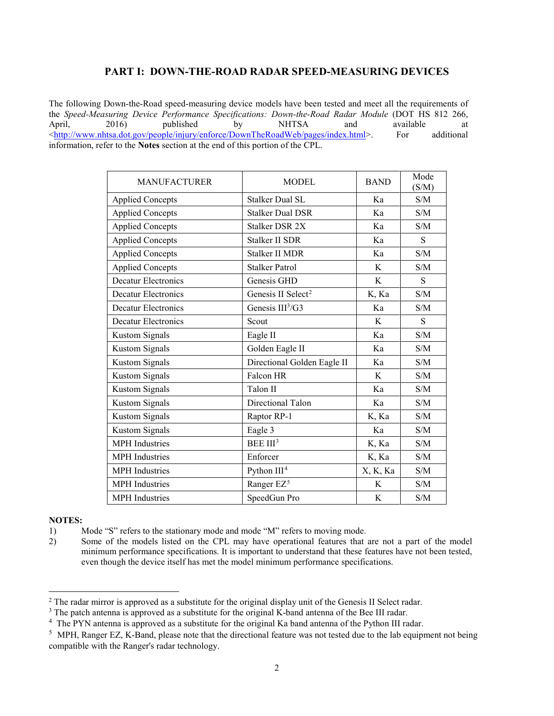### **PART I: DOWN-THE-ROAD RADAR SPEED-MEASURING DEVICES**

The following Down-the-Road speed-measuring device models have been tested and meet all the requirements of the *Speed-Measuring Device Performance Specifications: Down-the-Road Radar Module* (DOT HS 812 266, April, 2016) published by NHTSA and available at [<http://www.nhtsa.dot.gov/people/injury/enforce/DownTheRoadWeb/pages/index.html>](http://www.nhtsa.dot.gov/people/injury/enforce/DownTheRoadWeb/pages/index.html). For additional information, refer to the **Notes** section at the end of this portion of the CPL.

| <b>MANUFACTURER</b>        | <b>MODEL</b>                   | <b>BAND</b> | Mode<br>(S/M)                                     |
|----------------------------|--------------------------------|-------------|---------------------------------------------------|
| <b>Applied Concepts</b>    | <b>Stalker Dual SL</b>         | Ka          | S/M                                               |
| <b>Applied Concepts</b>    | <b>Stalker Dual DSR</b>        | Ka          | S/M                                               |
| <b>Applied Concepts</b>    | Stalker DSR 2X                 | Ka          | S/M                                               |
| <b>Applied Concepts</b>    | <b>Stalker II SDR</b>          | Ka          | S                                                 |
| <b>Applied Concepts</b>    | Stalker II MDR                 | Ka          | S/M                                               |
| <b>Applied Concepts</b>    | <b>Stalker Patrol</b>          | K           | S/M                                               |
| <b>Decatur Electronics</b> | Genesis GHD                    | K           | S                                                 |
| <b>Decatur Electronics</b> | Genesis II Select <sup>2</sup> | K, Ka       | S/M                                               |
| <b>Decatur Electronics</b> | Genesis III <sup>3</sup> /G3   | Ka          | S/M                                               |
| <b>Decatur Electronics</b> | Scout                          | K           | S                                                 |
| <b>Kustom Signals</b>      | Eagle II                       | Ka          | S/M                                               |
| <b>Kustom Signals</b>      | Golden Eagle II                | Ka          | S/M                                               |
| <b>Kustom Signals</b>      | Directional Golden Eagle II    | Ka          | S/M                                               |
| <b>Kustom Signals</b>      | Falcon HR                      | K           | S/M                                               |
| <b>Kustom Signals</b>      | Talon II                       | Ka          | S/M                                               |
| <b>Kustom Signals</b>      | Directional Talon              | Ka          | S/M                                               |
| <b>Kustom Signals</b>      | Raptor RP-1                    | K, Ka       | S/M                                               |
| <b>Kustom Signals</b>      | Eagle 3                        | Ka          | S/M                                               |
| <b>MPH</b> Industries      | BEE III <sup>3</sup>           | K, Ka       | S/M                                               |
| <b>MPH</b> Industries      | Enforcer                       | K, Ka       | S/M                                               |
| MPH Industries             | Python III <sup>4</sup>        | X, K, Ka    | S/M                                               |
| <b>MPH</b> Industries      | Ranger EZ <sup>5</sup>         | K           | $\ensuremath{\mathrm{S}}/\ensuremath{\mathrm{M}}$ |
| <b>MPH</b> Industries      | SpeedGun Pro                   | K           | S/M                                               |

#### **NOTES:**

<sup>1)</sup> Mode "S" refers to the stationary mode and mode "M" refers to moving mode.

<sup>2)</sup> Some of the models listed on the CPL may have operational features that are not a part of the model minimum performance specifications. It is important to understand that these features have not been tested, even though the device itself has met the model minimum performance specifications.

<span id="page-1-0"></span><sup>&</sup>lt;sup>2</sup> The radar mirror is approved as a substitute for the original display unit of the Genesis II Select radar.

<span id="page-1-1"></span><sup>&</sup>lt;sup>3</sup> The patch antenna is approved as a substitute for the original K-band antenna of the Bee III radar.

<span id="page-1-2"></span><sup>&</sup>lt;sup>4</sup> The PYN antenna is approved as a substitute for the original Ka band antenna of the Python III radar.

<span id="page-1-3"></span><sup>&</sup>lt;sup>5</sup> MPH, Ranger EZ, K-Band, please note that the directional feature was not tested due to the lab equipment not being compatible with the Ranger's radar technology.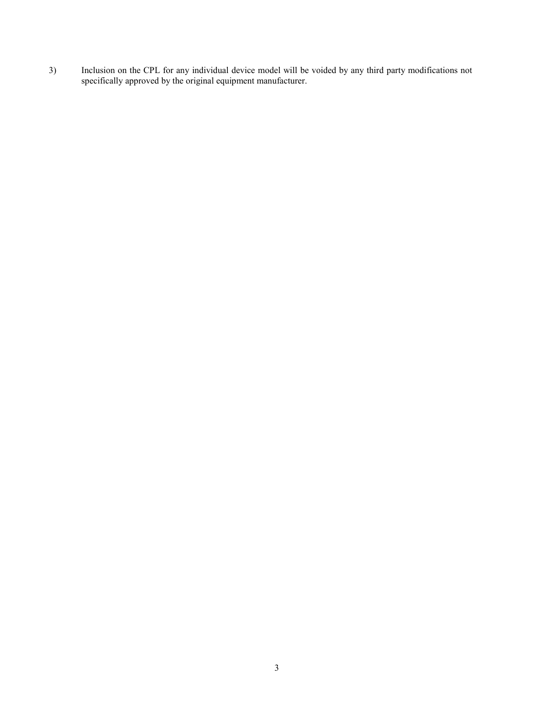3) Inclusion on the CPL for any individual device model will be voided by any third party modifications not specifically approved by the original equipment manufacturer.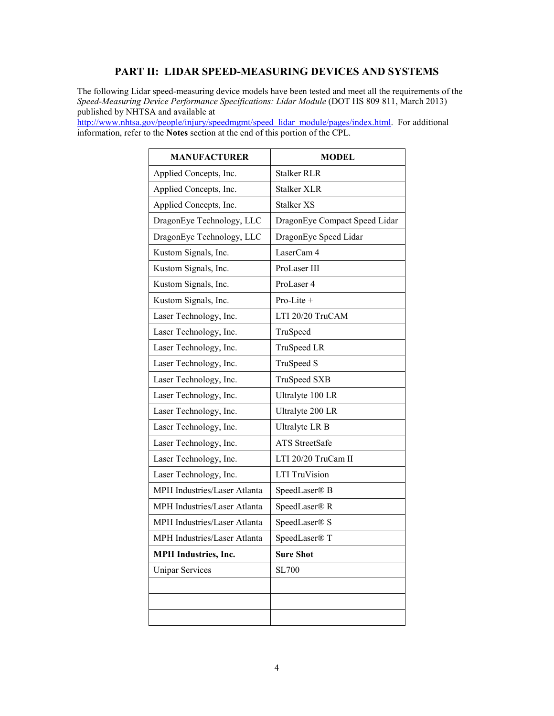### **PART II: LIDAR SPEED-MEASURING DEVICES AND SYSTEMS**

The following Lidar speed-measuring device models have been tested and meet all the requirements of the *Speed-Measuring Device Performance Specifications: Lidar Module* (DOT HS 809 811, March 2013) published by NHTSA and available at

[http://www.nhtsa.gov/people/injury/speedmgmt/speed\\_lidar\\_module/pages/index.html.](http://www.nhtsa.gov/people/injury/speedmgmt/speed_lidar_module/pages/index.html) For additional information, refer to the **Notes** section at the end of this portion of the CPL.

| <b>MANUFACTURER</b>          | <b>MODEL</b>                  |  |
|------------------------------|-------------------------------|--|
| Applied Concepts, Inc.       | <b>Stalker RLR</b>            |  |
| Applied Concepts, Inc.       | Stalker XLR                   |  |
| Applied Concepts, Inc.       | <b>Stalker XS</b>             |  |
| DragonEye Technology, LLC    | DragonEye Compact Speed Lidar |  |
| DragonEye Technology, LLC    | DragonEye Speed Lidar         |  |
| Kustom Signals, Inc.         | LaserCam 4                    |  |
| Kustom Signals, Inc.         | ProLaser III                  |  |
| Kustom Signals, Inc.         | ProLaser 4                    |  |
| Kustom Signals, Inc.         | Pro-Lite +                    |  |
| Laser Technology, Inc.       | LTI 20/20 TruCAM              |  |
| Laser Technology, Inc.       | TruSpeed                      |  |
| Laser Technology, Inc.       | TruSpeed LR                   |  |
| Laser Technology, Inc.       | TruSpeed S                    |  |
| Laser Technology, Inc.       | <b>TruSpeed SXB</b>           |  |
| Laser Technology, Inc.       | Ultralyte 100 LR              |  |
| Laser Technology, Inc.       | Ultralyte 200 LR              |  |
| Laser Technology, Inc.       | Ultralyte LR B                |  |
| Laser Technology, Inc.       | <b>ATS</b> StreetSafe         |  |
| Laser Technology, Inc.       | LTI 20/20 TruCam II           |  |
| Laser Technology, Inc.       | LTI TruVision                 |  |
| MPH Industries/Laser Atlanta | SpeedLaser® B                 |  |
| MPH Industries/Laser Atlanta | SpeedLaser® R                 |  |
| MPH Industries/Laser Atlanta | SpeedLaser® S                 |  |
| MPH Industries/Laser Atlanta | SpeedLaser® T                 |  |
| <b>MPH</b> Industries, Inc.  | <b>Sure Shot</b>              |  |
| <b>Unipar Services</b>       | <b>SL700</b>                  |  |
|                              |                               |  |
|                              |                               |  |
|                              |                               |  |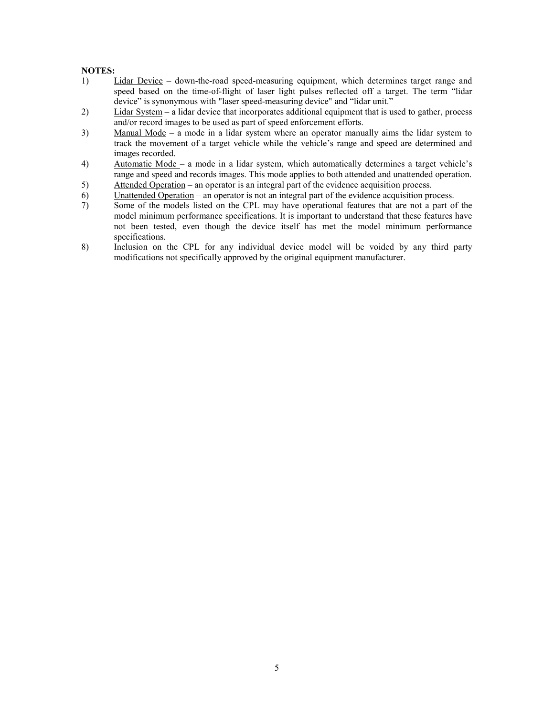#### **NOTES:**

- 1) Lidar Device down-the-road speed-measuring equipment, which determines target range and speed based on the time-of-flight of laser light pulses reflected off a target. The term "lidar device" is synonymous with "laser speed-measuring device" and "lidar unit."
- 2) Lidar System a lidar device that incorporates additional equipment that is used to gather, process and/or record images to be used as part of speed enforcement efforts.
- 3) Manual Mode a mode in a lidar system where an operator manually aims the lidar system to track the movement of a target vehicle while the vehicle's range and speed are determined and images recorded.
- 4) Automatic Mode a mode in a lidar system, which automatically determines a target vehicle's range and speed and records images. This mode applies to both attended and unattended operation.
- 5) Attended Operation an operator is an integral part of the evidence acquisition process.
- 6) Unattended Operation an operator is not an integral part of the evidence acquisition process.
- 7) Some of the models listed on the CPL may have operational features that are not a part of the model minimum performance specifications. It is important to understand that these features have not been tested, even though the device itself has met the model minimum performance specifications.
- 8) Inclusion on the CPL for any individual device model will be voided by any third party modifications not specifically approved by the original equipment manufacturer.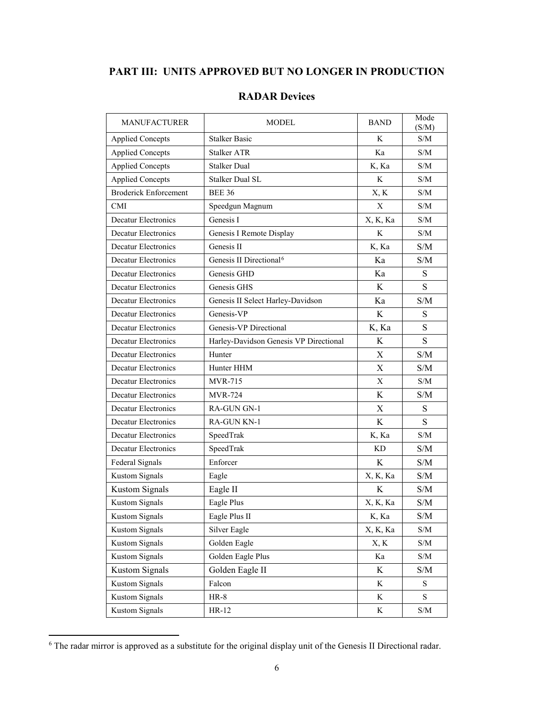## **PART III: UNITS APPROVED BUT NO LONGER IN PRODUCTION**

| <b>MANUFACTURER</b>          | <b>MODEL</b>                           | <b>BAND</b> | Mode<br>(S/M)                                     |
|------------------------------|----------------------------------------|-------------|---------------------------------------------------|
| <b>Applied Concepts</b>      | <b>Stalker Basic</b>                   | K           | S/M                                               |
| <b>Applied Concepts</b>      | <b>Stalker ATR</b>                     | Ka          | S/M                                               |
| <b>Applied Concepts</b>      | <b>Stalker Dual</b>                    | K, Ka       | S/M                                               |
| <b>Applied Concepts</b>      | Stalker Dual SL                        | K           | S/M                                               |
| <b>Broderick Enforcement</b> | <b>BEE 36</b>                          | X, K        | S/M                                               |
| <b>CMI</b>                   | Speedgun Magnum                        | X           | S/M                                               |
| Decatur Electronics          | Genesis I                              | X, K, Ka    | S/M                                               |
| Decatur Electronics          | Genesis I Remote Display               | K           | S/M                                               |
| Decatur Electronics          | Genesis II                             | K, Ka       | S/M                                               |
| Decatur Electronics          | Genesis II Directional <sup>6</sup>    | Ka          | S/M                                               |
| <b>Decatur Electronics</b>   | Genesis GHD                            | Ka          | S                                                 |
| <b>Decatur Electronics</b>   | Genesis GHS                            | K           | ${\bf S}$                                         |
| <b>Decatur Electronics</b>   | Genesis II Select Harley-Davidson      | Ka          | S/M                                               |
| <b>Decatur Electronics</b>   | Genesis-VP                             | K           | S                                                 |
| Decatur Electronics          | Genesis-VP Directional                 | K, Ka       | S                                                 |
| Decatur Electronics          | Harley-Davidson Genesis VP Directional | K           | ${\bf S}$                                         |
| Decatur Electronics          | Hunter                                 | X           | S/M                                               |
| Decatur Electronics          | Hunter HHM                             | X           | S/M                                               |
| <b>Decatur Electronics</b>   | <b>MVR-715</b>                         | $\mathbf X$ | S/M                                               |
| Decatur Electronics          | <b>MVR-724</b>                         | K           | S/M                                               |
| <b>Decatur Electronics</b>   | RA-GUN GN-1                            | $\mathbf X$ | S                                                 |
| Decatur Electronics          | <b>RA-GUN KN-1</b>                     | K           | S                                                 |
| Decatur Electronics          | SpeedTrak                              | K, Ka       | S/M                                               |
| Decatur Electronics          | SpeedTrak                              | KD          | S/M                                               |
| Federal Signals              | Enforcer                               | K           | S/M                                               |
| <b>Kustom Signals</b>        | Eagle                                  | X, K, Ka    | S/M                                               |
| <b>Kustom Signals</b>        | Eagle II                               | $\rm K$     | S/M                                               |
| <b>Kustom Signals</b>        | Eagle Plus                             | X, K, Ka    | S/M                                               |
| Kustom Signals               | Eagle Plus II                          | K, Ka       | $\ensuremath{\mathrm{S}}/\ensuremath{\mathrm{M}}$ |
| <b>Kustom Signals</b>        | Silver Eagle                           | X, K, Ka    | S/M                                               |
| <b>Kustom Signals</b>        | Golden Eagle                           | X, K        | S/M                                               |
| <b>Kustom Signals</b>        | Golden Eagle Plus                      | Ka          | S/M                                               |
| <b>Kustom Signals</b>        | Golden Eagle II                        | K           | S/M                                               |
| <b>Kustom Signals</b>        | Falcon                                 | K           | $\mathbf S$                                       |
| <b>Kustom Signals</b>        | $HR-8$                                 | K           | $\mathbf S$                                       |
| <b>Kustom Signals</b>        | HR-12                                  | K           | $\ensuremath{\mathrm{S}}/\ensuremath{\mathrm{M}}$ |

<span id="page-5-0"></span> <sup>6</sup> The radar mirror is approved as a substitute for the original display unit of the Genesis II Directional radar.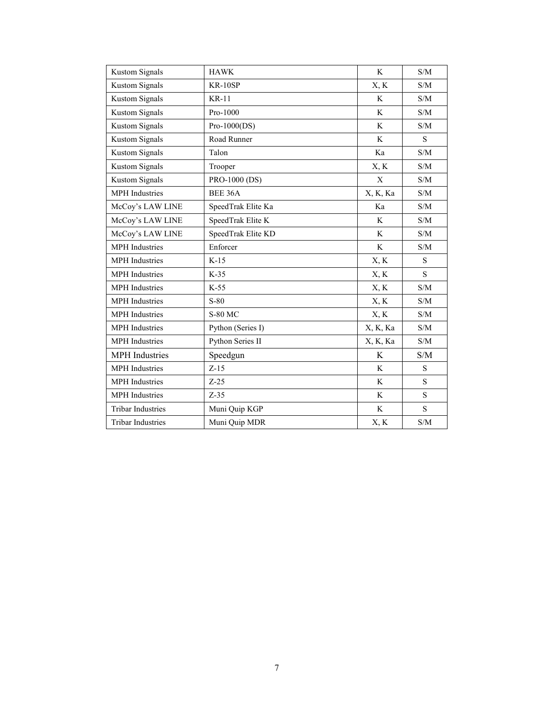| <b>Kustom Signals</b>    | <b>HAWK</b>        | K           | S/M                                               |
|--------------------------|--------------------|-------------|---------------------------------------------------|
| <b>Kustom Signals</b>    | $KR-10SP$          | X, K        | S/M                                               |
| <b>Kustom Signals</b>    | <b>KR-11</b>       | K           | S/M                                               |
| <b>Kustom Signals</b>    | Pro-1000           | K           | S/M                                               |
| <b>Kustom Signals</b>    | $Pro-1000(DS)$     | K           | S/M                                               |
| <b>Kustom Signals</b>    | Road Runner        | K           | S                                                 |
| <b>Kustom Signals</b>    | Talon              | Ka          | S/M                                               |
| <b>Kustom Signals</b>    | Trooper            | X, K        | S/M                                               |
| <b>Kustom Signals</b>    | PRO-1000 (DS)      | $\mathbf X$ | S/M                                               |
| <b>MPH</b> Industries    | BEE 36A            | X, K, Ka    | S/M                                               |
| McCoy's LAW LINE         | SpeedTrak Elite Ka | Ka          | S/M                                               |
| McCoy's LAW LINE         | SpeedTrak Elite K  | K           | S/M                                               |
| McCoy's LAW LINE         | SpeedTrak Elite KD | K           | S/M                                               |
| <b>MPH</b> Industries    | Enforcer           | K           | S/M                                               |
| <b>MPH</b> Industries    | $K-15$             | X, K        | S                                                 |
| <b>MPH</b> Industries    | $K-35$             | X, K        | S                                                 |
| MPH Industries           | $K-55$             | X, K        | $\ensuremath{\mathrm{S}}/\ensuremath{\mathrm{M}}$ |
| <b>MPH</b> Industries    | $S-80$             | X, K        | S/M                                               |
| <b>MPH</b> Industries    | <b>S-80 MC</b>     | X, K        | S/M                                               |
| <b>MPH</b> Industries    | Python (Series I)  | X, K, Ka    | S/M                                               |
| <b>MPH</b> Industries    | Python Series II   | X, K, Ka    | S/M                                               |
| <b>MPH</b> Industries    | Speedgun           | K           | S/M                                               |
| <b>MPH</b> Industries    | $Z-15$             | K           | S                                                 |
| <b>MPH</b> Industries    | $Z-25$             | K           | S                                                 |
| MPH Industries           | $Z-35$             | K           | ${\bf S}$                                         |
| <b>Tribar Industries</b> | Muni Quip KGP      | $\rm K$     | S                                                 |
| <b>Tribar Industries</b> | Muni Quip MDR      | X, K        | S/M                                               |